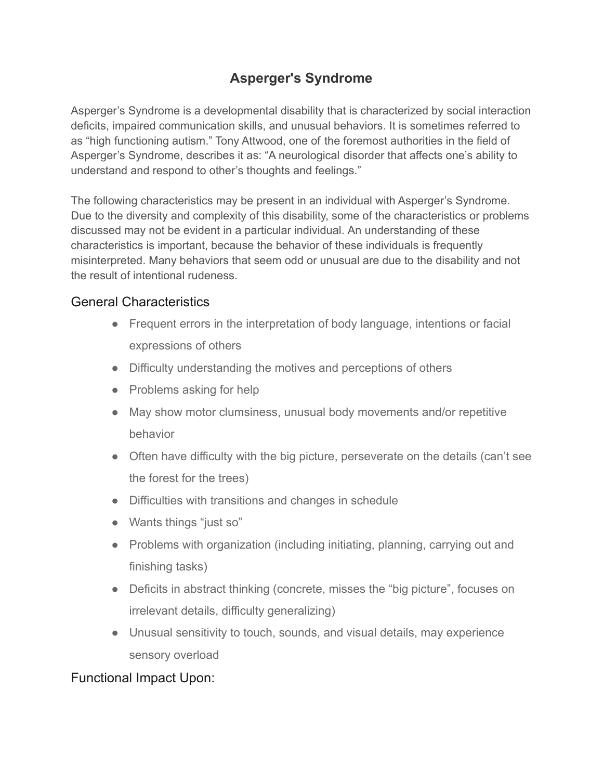# **Asperger's Syndrome**

Asperger's Syndrome is a developmental disability that is characterized by social interaction deficits, impaired communication skills, and unusual behaviors. It is sometimes referred to as "high functioning autism." Tony Attwood, one of the foremost authorities in the field of Asperger's Syndrome, describes it as: "A neurological disorder that affects one's ability to understand and respond to other's thoughts and feelings."

The following characteristics may be present in an individual with Asperger's Syndrome. Due to the diversity and complexity of this disability, some of the characteristics or problems discussed may not be evident in a particular individual. An understanding of these characteristics is important, because the behavior of these individuals is frequently misinterpreted. Many behaviors that seem odd or unusual are due to the disability and not the result of intentional rudeness.

## General Characteristics

- Frequent errors in the interpretation of body language, intentions or facial expressions of others
- Difficulty understanding the motives and perceptions of others
- Problems asking for help
- May show motor clumsiness, unusual body movements and/or repetitive behavior
- Often have difficulty with the big picture, perseverate on the details (can't see the forest for the trees)
- Difficulties with transitions and changes in schedule
- Wants things "just so"
- Problems with organization (including initiating, planning, carrying out and finishing tasks)
- Deficits in abstract thinking (concrete, misses the "big picture", focuses on irrelevant details, difficulty generalizing)
- Unusual sensitivity to touch, sounds, and visual details, may experience sensory overload

### Functional Impact Upon: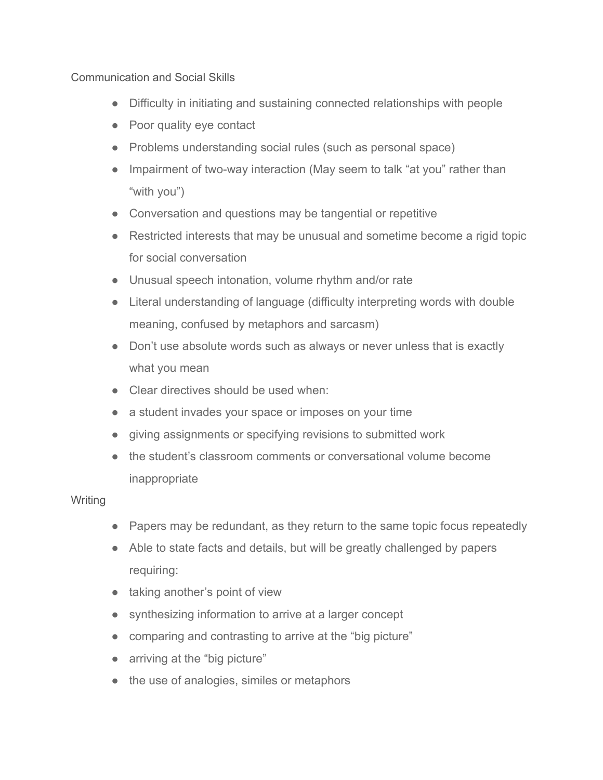Communication and Social Skills

- Difficulty in initiating and sustaining connected relationships with people
- Poor quality eye contact
- Problems understanding social rules (such as personal space)
- Impairment of two-way interaction (May seem to talk "at you" rather than "with you")
- Conversation and questions may be tangential or repetitive
- Restricted interests that may be unusual and sometime become a rigid topic for social conversation
- Unusual speech intonation, volume rhythm and/or rate
- Literal understanding of language (difficulty interpreting words with double meaning, confused by metaphors and sarcasm)
- Don't use absolute words such as always or never unless that is exactly what you mean
- Clear directives should be used when:
- a student invades your space or imposes on your time
- giving assignments or specifying revisions to submitted work
- the student's classroom comments or conversational volume become inappropriate

#### **Writing**

- Papers may be redundant, as they return to the same topic focus repeatedly
- Able to state facts and details, but will be greatly challenged by papers requiring:
- taking another's point of view
- synthesizing information to arrive at a larger concept
- comparing and contrasting to arrive at the "big picture"
- arriving at the "big picture"
- the use of analogies, similes or metaphors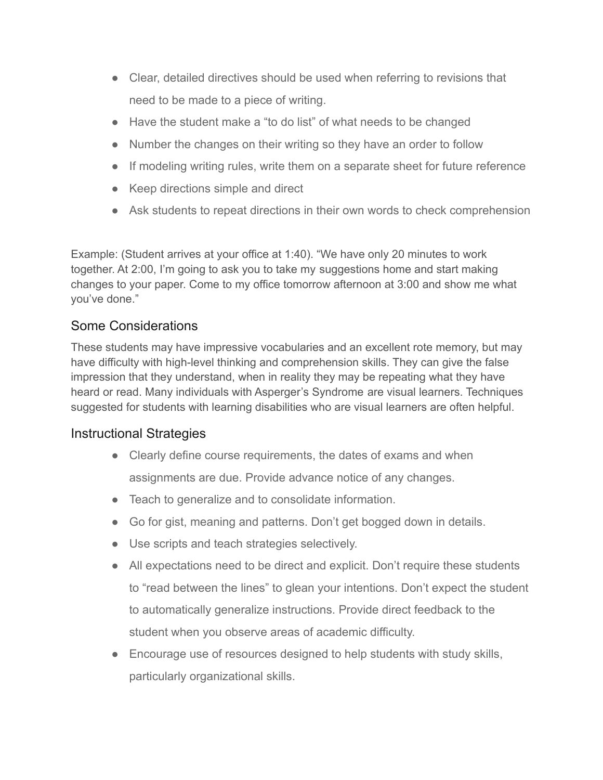- Clear, detailed directives should be used when referring to revisions that need to be made to a piece of writing.
- Have the student make a "to do list" of what needs to be changed
- Number the changes on their writing so they have an order to follow
- If modeling writing rules, write them on a separate sheet for future reference
- Keep directions simple and direct
- Ask students to repeat directions in their own words to check comprehension

Example: (Student arrives at your office at 1:40). "We have only 20 minutes to work together. At 2:00, I'm going to ask you to take my suggestions home and start making changes to your paper. Come to my office tomorrow afternoon at 3:00 and show me what you've done."

# Some Considerations

These students may have impressive vocabularies and an excellent rote memory, but may have difficulty with high-level thinking and comprehension skills. They can give the false impression that they understand, when in reality they may be repeating what they have heard or read. Many individuals with Asperger's Syndrome are visual learners. Techniques suggested for students with learning disabilities who are visual learners are often helpful.

### Instructional Strategies

- Clearly define course requirements, the dates of exams and when assignments are due. Provide advance notice of any changes.
- Teach to generalize and to consolidate information.
- Go for gist, meaning and patterns. Don't get bogged down in details.
- Use scripts and teach strategies selectively.
- All expectations need to be direct and explicit. Don't require these students to "read between the lines" to glean your intentions. Don't expect the student to automatically generalize instructions. Provide direct feedback to the student when you observe areas of academic difficulty.
- Encourage use of resources designed to help students with study skills, particularly organizational skills.